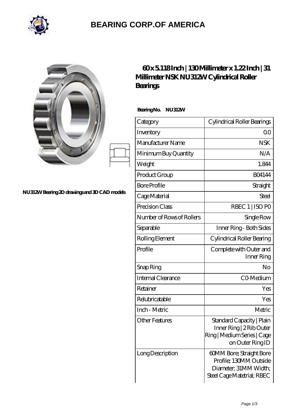

## **[BEARING CORP.OF AMERICA](https://bluemondayreview.com)**

|                                              | $60x5118$ Inch   130Millim<br>Millimeter NSK NU312WCyli<br><b>Bearings</b> |              |
|----------------------------------------------|----------------------------------------------------------------------------|--------------|
|                                              | BearingNo.<br>NU312W<br>Category                                           | Cyli         |
|                                              | Inventory                                                                  |              |
|                                              | Manufacturer Name                                                          |              |
|                                              | Minimum Buy Quantity                                                       |              |
|                                              | Weight                                                                     |              |
|                                              | Product Group                                                              |              |
|                                              | <b>Bore Profile</b>                                                        |              |
| NU312W Bearing 2D drawings and 3D CAD models | Cage Material                                                              |              |
|                                              | Precision Class                                                            |              |
|                                              | Number of Rows of Rollers                                                  |              |
|                                              | Separable                                                                  | $\mathbf{I}$ |
|                                              | Rolling Element                                                            | Cyl          |
|                                              | Profile                                                                    | Co           |
|                                              |                                                                            |              |

## **[60 x 5.118 Inch | 130 Millimeter x 1.22 Inch | 31](https://bluemondayreview.com/az-174701-nsk-nu312w-cylindrical-roller-bearings.html) [Millimeter NSK NU312W Cylindrical Roller](https://bluemondayreview.com/az-174701-nsk-nu312w-cylindrical-roller-bearings.html)**

| Category                  | Cylindrical Roller Bearings                                                                               |
|---------------------------|-----------------------------------------------------------------------------------------------------------|
| Inventory                 | 0 <sub>0</sub>                                                                                            |
| Manufacturer Name         | <b>NSK</b>                                                                                                |
| Minimum Buy Quantity      | N/A                                                                                                       |
| Weight                    | 1.844                                                                                                     |
| Product Group             | <b>BO4144</b>                                                                                             |
| <b>Bore Profile</b>       | Straight                                                                                                  |
| Cage Material             | Steel                                                                                                     |
| Precision Class           | RBEC 1   ISO PO                                                                                           |
| Number of Rows of Rollers | Single Row                                                                                                |
| Separable                 | Inner Ring - Both Sides                                                                                   |
| Rolling Element           | Cylindrical Roller Bearing                                                                                |
| Profile                   | Complete with Outer and<br>Inner Ring                                                                     |
| Snap Ring                 | No                                                                                                        |
| Internal Clearance        | CO-Medium                                                                                                 |
| Retainer                  | Yes                                                                                                       |
| Relubricatable            | Yes                                                                                                       |
| Inch - Metric             | Metric                                                                                                    |
| Other Features            | Standard Capacity   Plain<br>Inner Ring   2 Rib Outer<br>Ring   Medium Series   Cage<br>on Outer Ring ID  |
| Long Description          | 60MM Bore; Straight Bore<br>Profile; 130MM Outside<br>Diameter; 31MM Width;<br>Steel Cage Matetrial; RBEC |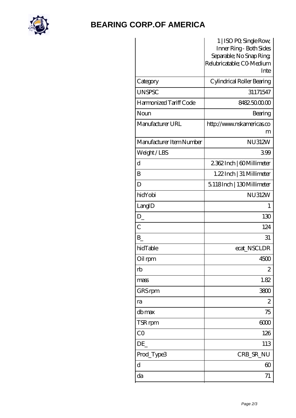

## **[BEARING CORP.OF AMERICA](https://bluemondayreview.com)**

|                          | 1   ISO PO, Single Row,<br>Inner Ring - Both Sides |
|--------------------------|----------------------------------------------------|
|                          | Separable; No Snap Ring                            |
|                          | Relubricatable; CO-Medium                          |
|                          | Inte                                               |
| Category                 | Cylindrical Roller Bearing                         |
| <b>UNSPSC</b>            | 31171547                                           |
| Harmonized Tariff Code   | 8482500000                                         |
| Noun                     | Bearing                                            |
| Manufacturer URL         | http://www.nskamericas.co                          |
|                          | m                                                  |
| Manufacturer Item Number | <b>NU312W</b>                                      |
| Weight/LBS               | 399                                                |
| d                        | 2362Inch   60Millimeter                            |
| B                        | 1.22 Inch   31 Millimeter                          |
| D                        | 5.118Inch   130Millimeter                          |
| hidYobi                  | <b>NU312W</b>                                      |
| LangID                   | 1                                                  |
| $D_{-}$                  | 130                                                |
| $\overline{C}$           | 124                                                |
| B                        | 31                                                 |
| hidTable                 | ecat_NSCLDR                                        |
| Oil rpm                  | 4500                                               |
| rb                       | $\mathbf{z}$                                       |
| mass                     | 1.82                                               |
| GRS rpm                  | 3800                                               |
| ra                       | $\overline{c}$                                     |
| db max                   | 75                                                 |
| TSR rpm                  | 6000                                               |
| CO                       | 126                                                |
| DE                       | 113                                                |
| Prod_Type3               | CRB_SR_NU                                          |
| $\mathbf d$              | $\infty$                                           |
| da                       | 71                                                 |
|                          |                                                    |